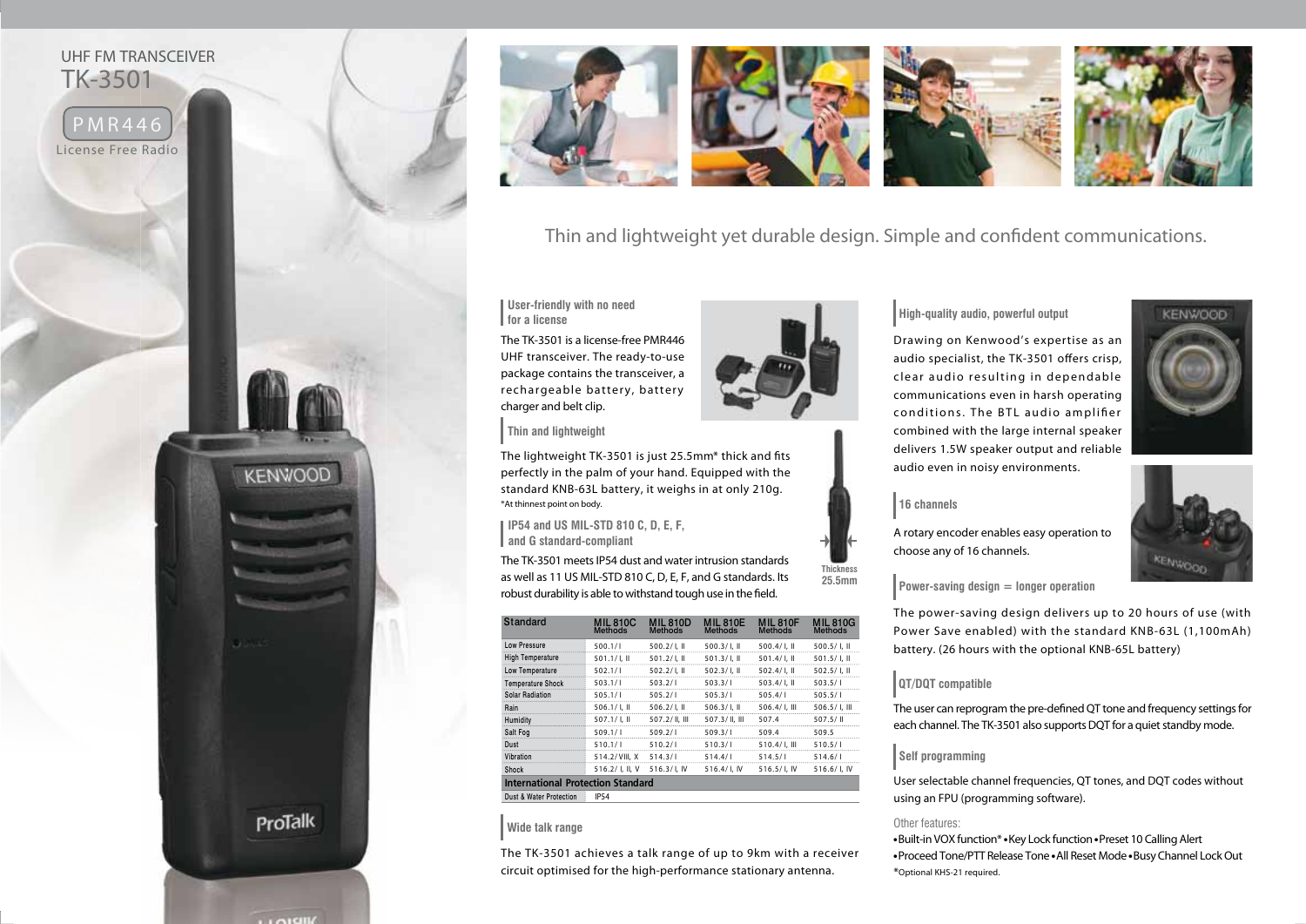



Thin and lightweight yet durable design. Simple and confident communications.

**User-friendly with no need for a license**

The TK-3501 is a license-free PMR446 UHF transceiver. The ready-to-use package contains the transceiver, a rechargeable battery, battery charger and belt clip.

**Thin and lightweight**

The lightweight TK-3501 is just 25.5mm\* thick and fits perfectly in the palm of your hand. Equipped with the standard KNB-63L battery, it weighs in at only 210g. \*At thinnest point on body.

**IP54 and US MIL-STD 810 C, D, E, F, and G standard-compliant**

The TK-3501 meets IP54 dust and water intrusion standards as well as 11 US MIL-STD 810 C, D, E, F, and G standards. Its robust durability is able to withstand tough use in the field.

| Standard                                 | <b>MIL 810C</b><br><b>Methods</b> | <b>MIL 810D</b><br><b>Methods</b> | <b>MIL810E</b><br><b>Methods</b> | <b>MIL 810F</b><br><b>Methods</b> | <b>MIL810G</b><br><b>Methods</b> |
|------------------------------------------|-----------------------------------|-----------------------------------|----------------------------------|-----------------------------------|----------------------------------|
| <b>Low Pressure</b>                      | 500.1/1                           | $500.2/$ I. II                    | $500.3/$ I. II                   | $500.4/$ l. II                    | $500.5/$ I. II                   |
| <b>High Temperature</b>                  | $501.1 / L$ II                    | $501.2/$ l. II                    | $501.3/$ l. II                   | $501.4/$ l. II                    | $501.5/$ l. II                   |
| Low Temperature                          | 502.1/1                           | $502.2/$ l. II                    | $502.3/ I.$ II                   | $502.4/$ l. II                    | $502.5/$ I, II                   |
| <b>Temperature Shock</b>                 | 503.1/1                           | 503.2/1                           | 503.3/1                          | $503.4/$ l. II                    | 503.5/1                          |
| <b>Solar Radiation</b>                   | 505.1/1                           | 505.2/1                           | 505.3/1                          | 505.4/1                           | 505.5/1                          |
| Rain                                     | 506.1 / L                         | $506.2/$ l. II                    | $506.3/$ , II                    | 506.4/L III                       | $506.5/$ I. III                  |
| Humidity                                 | $507.1/$ l. II                    | 507.2/ II. III                    | 507.3/ II. III                   | 507.4                             | 507.5/11                         |
| Salt Fog                                 | 509.1/1                           | 509.2/1                           | 509.3/1                          | 509.4                             | 509.5                            |
| Dust                                     | 510.1/1                           | 510.2/1                           | 510.3/1                          | $510.4/$ l. III                   | 510.5/1                          |
| Vibration                                | 514.2/VIII. X                     | 514.3/1                           | 514.4/1                          | 514.5/1                           | 514.6/1                          |
| Shock                                    | 516.2/ I. II. V                   | 516.3/L IV                        | 516.4/l, IV                      | 516.5/L IV                        | 516.6/L IV                       |
| <b>International Protection Standard</b> |                                   |                                   |                                  |                                   |                                  |
| Dust & Water Protection                  | <b>IP54</b>                       |                                   |                                  |                                   |                                  |

**Wide talk range**

The TK-3501 achieves a talk range of up to 9km with a receiver circuit optimised for the high-performance stationary antenna.



Drawing on Kenwood's expertise as an audio specialist, the TK-3501 offers crisp, clear audio resulting in dependable communications even in harsh operating conditions. The BTL audio amplifier combined with the large internal speaker delivers 1.5W speaker output and reliable audio even in noisy environments.

# **KENWOOD**

#### **16 channels**

A rotary encoder enables easy operation to choose any of 16 channels.



**Power-saving design = longer operation**

The power-saving design delivers up to 20 hours of use (with Power Save enabled) with the standard KNB-63L (1,100mAh) battery. (26 hours with the optional KNB-65L battery)

#### **QT/DQT compatible**

The user can reprogram the pre-defined QT tone and frequency settings for each channel. The TK-3501 also supports DQT for a quiet standby mode.

#### **Self programming**

User selectable channel frequencies, QT tones, and DQT codes without using an FPU (programming software).

#### Other features:

● Built-in VOX function\* ● Key Lock function ● Preset 10 Calling Alert ● Proceed Tone/PTT Release Tone ● All Reset Mode ● Busy Channel Lock Out \*Optional KHS-21 required.